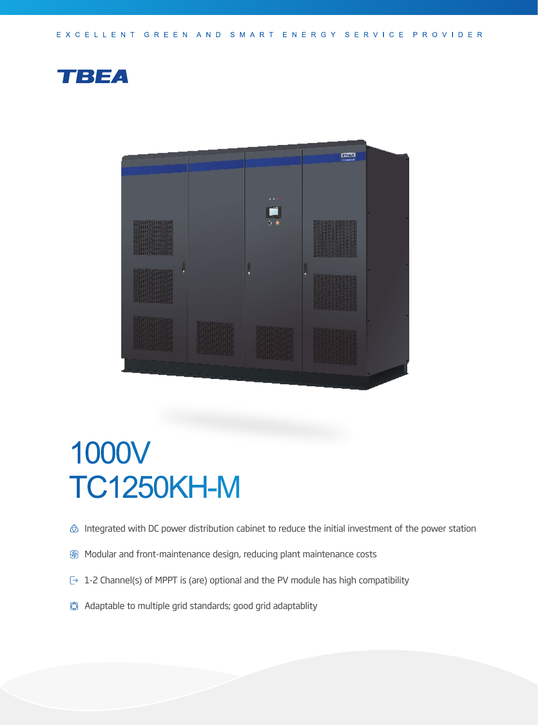



## 1000V TC1250KH-M

- $\hat{\otimes}$  Integrated with DC power distribution cabinet to reduce the initial investment of the power station
- **图 Modular and front-maintenance design, reducing plant maintenance costs**
- $\rightarrow$  1-2 Channel(s) of MPPT is (are) optional and the PV module has high compatibility
- Adaptable to multiple grid standards; good grid adaptablity